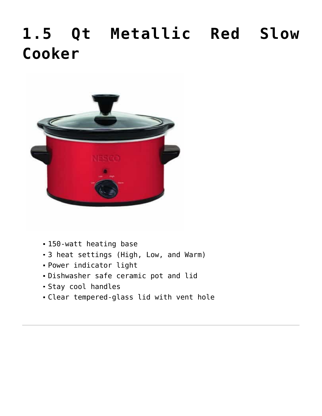# **[1.5 Qt Metallic Red Slow](https://www.nesco.com/product/1-5-qt-slow-cooker-metallic-red/) [Cooker](https://www.nesco.com/product/1-5-qt-slow-cooker-metallic-red/)**



- 150-watt heating base
- 3 heat settings (High, Low, and Warm)
- Power indicator light
- Dishwasher safe ceramic pot and lid
- Stay cool handles
- Clear tempered-glass lid with vent hole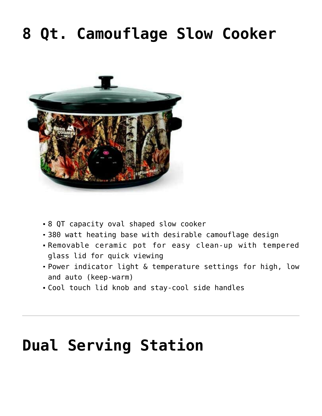## **[8 Qt. Camouflage Slow Cooker](https://www.nesco.com/product/8-qt-slow-cooker-camouflage/)**



- 8 QT capacity oval shaped slow cooker
- 380 watt heating base with desirable camouflage design
- Removable ceramic pot for easy clean-up with tempered glass lid for quick viewing
- Power indicator light & temperature settings for high, low and auto (keep-warm)
- Cool touch lid knob and stay-cool side handles

## **[Dual Serving Station](https://www.nesco.com/product/dual-serving-station/)**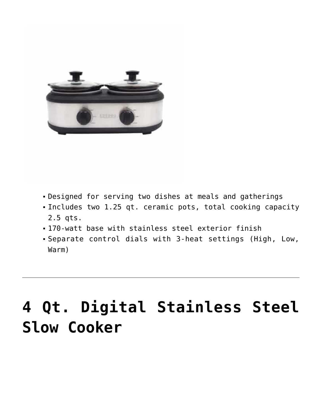

- Designed for serving two dishes at meals and gatherings
- Includes two 1.25 qt. ceramic pots, total cooking capacity 2.5 qts.
- 170-watt base with stainless steel exterior finish
- Separate control dials with 3-heat settings (High, Low, Warm)

# **[4 Qt. Digital Stainless Steel](https://www.nesco.com/product/4-qt-digital-stainless-steel-slow-cooker/) [Slow Cooker](https://www.nesco.com/product/4-qt-digital-stainless-steel-slow-cooker/)**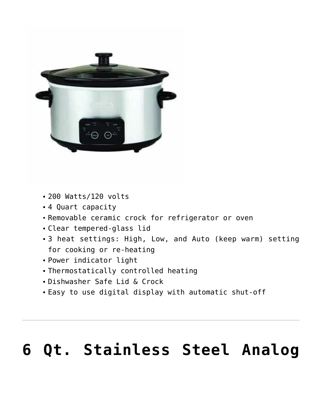

- 200 Watts/120 volts
- 4 Quart capacity
- Removable ceramic crock for refrigerator or oven
- Clear tempered-glass lid
- 3 heat settings: High, Low, and Auto (keep warm) setting for cooking or re-heating
- Power indicator light
- Thermostatically controlled heating
- Dishwasher Safe Lid & Crock
- Easy to use digital display with automatic shut-off

# **[6 Qt. Stainless Steel Analog](https://www.nesco.com/product/6-qt-oval-analog-slow-cooker-stainless-steel/)**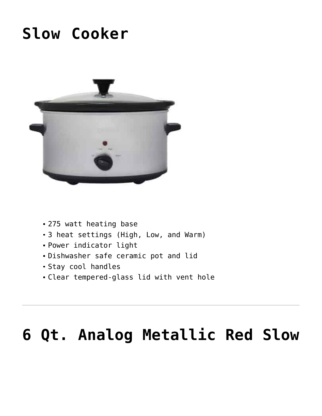### **[Slow Cooker](https://www.nesco.com/product/6-qt-oval-analog-slow-cooker-stainless-steel/)**



- 275 watt heating base
- 3 heat settings (High, Low, and Warm)
- Power indicator light
- Dishwasher safe ceramic pot and lid
- Stay cool handles
- Clear tempered-glass lid with vent hole

## **[6 Qt. Analog Metallic Red Slow](https://www.nesco.com/product/6-qt-analog-metallic-red-slow-cooker/)**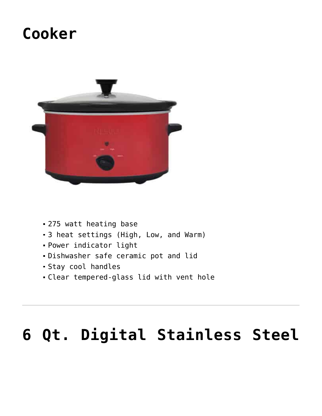### **[Cooker](https://www.nesco.com/product/6-qt-analog-metallic-red-slow-cooker/)**



- 275 watt heating base
- 3 heat settings (High, Low, and Warm)
- Power indicator light
- Dishwasher safe ceramic pot and lid
- Stay cool handles
- Clear tempered-glass lid with vent hole

# **[6 Qt. Digital Stainless Steel](https://www.nesco.com/product/6-qt-digital-stainless-steel-slow-cooker/)**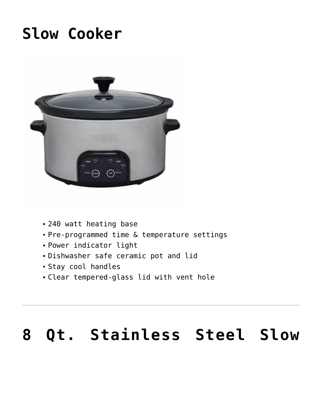### **[Slow Cooker](https://www.nesco.com/product/6-qt-digital-stainless-steel-slow-cooker/)**



- 240 watt heating base
- Pre-programmed time & temperature settings
- Power indicator light
- Dishwasher safe ceramic pot and lid
- Stay cool handles
- Clear tempered-glass lid with vent hole

#### **[8 Qt. Stainless Steel Slow](https://www.nesco.com/product/8-qt-stainless-steel-slow-cooker/)**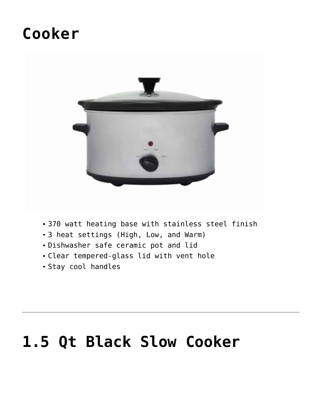#### **[Cooker](https://www.nesco.com/product/8-qt-stainless-steel-slow-cooker/)**



- 370 watt heating base with stainless steel finish
- 3 heat settings (High, Low, and Warm)
- Dishwasher safe ceramic pot and lid
- Clear tempered-glass lid with vent hole
- Stay cool handles

## **[1.5 Qt Black Slow Cooker](https://www.nesco.com/product/1-5-qt-black-slow-cooker/)**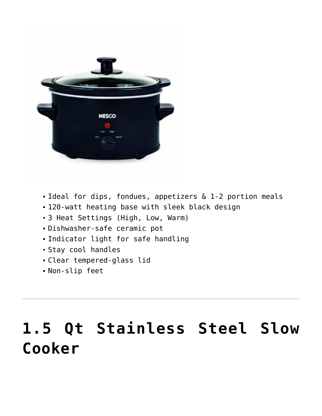

- Ideal for dips, fondues, appetizers & 1-2 portion meals
- 120-watt heating base with sleek black design
- 3 Heat Settings (High, Low, Warm)
- Dishwasher-safe ceramic pot
- Indicator light for safe handling
- Stay cool handles
- Clear tempered-glass lid
- Non-slip feet

## **[1.5 Qt Stainless Steel Slow](https://www.nesco.com/product/1-5-qt-stainless-steel-slow-cooker/) [Cooker](https://www.nesco.com/product/1-5-qt-stainless-steel-slow-cooker/)**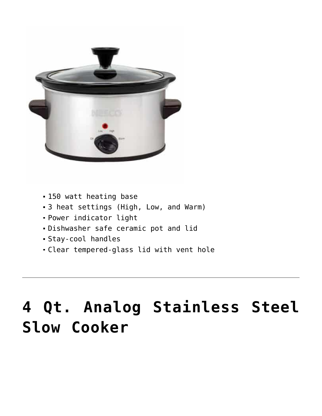

- 150 watt heating base
- 3 heat settings (High, Low, and Warm)
- Power indicator light
- Dishwasher safe ceramic pot and lid
- Stay-cool handles
- Clear tempered-glass lid with vent hole

# **[4 Qt. Analog Stainless Steel](https://www.nesco.com/product/4-qt-analog-stainless-steel-slow-cooker/) [Slow Cooker](https://www.nesco.com/product/4-qt-analog-stainless-steel-slow-cooker/)**